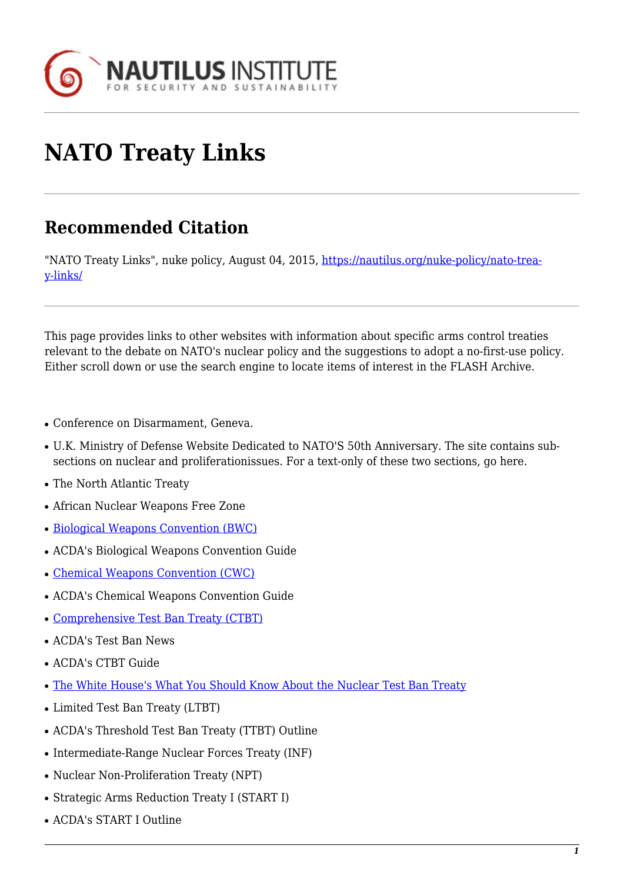

## **NATO Treaty Links**

## **Recommended Citation**

"NATO Treaty Links", nuke policy, August 04, 2015, [https://nautilus.org/nuke-policy/nato-trea](https://nautilus.org/nuke-policy/nato-treaty-links/)[y-links/](https://nautilus.org/nuke-policy/nato-treaty-links/)

This page provides links to other websites with information about specific arms control treaties relevant to the debate on NATO's nuclear policy and the suggestions to adopt a no-first-use policy. Either scroll down or use the search engine to locate items of interest in the FLASH Archive.

- Conference on Disarmament, Geneva.
- U.K. Ministry of Defense Website Dedicated to NATO'S 50th Anniversary. The site contains subsections on nuclear and proliferationissues. For a text-only of these two sections, go here.
- The North Atlantic Treaty
- African Nuclear Weapons Free Zone
- [Biological Weapons Convention \(BWC\)](http://dosfan.lib.uic.edu/acda/treaties/bwc1.htm)
- ACDA's Biological Weapons Convention Guide
- [Chemical Weapons Convention \(CWC\)](http://www.cwc.gov/)
- ACDA's Chemical Weapons Convention Guide
- [Comprehensive Test Ban Treaty \(CTBT\)](http://www.state.gov/t/avc/c42328.htm)
- ACDA's Test Ban News
- ACDA's CTBT Guide
- [The White House's What You Should Know About the Nuclear Test Ban Treaty](http://www.whitehouse.gov/WH/New/html/CTBT/)
- Limited Test Ban Treaty (LTBT)
- ACDA's Threshold Test Ban Treaty (TTBT) Outline
- Intermediate-Range Nuclear Forces Treaty (INF)
- Nuclear Non-Proliferation Treaty (NPT)
- Strategic Arms Reduction Treaty I (START I)
- ACDA's START I Outline